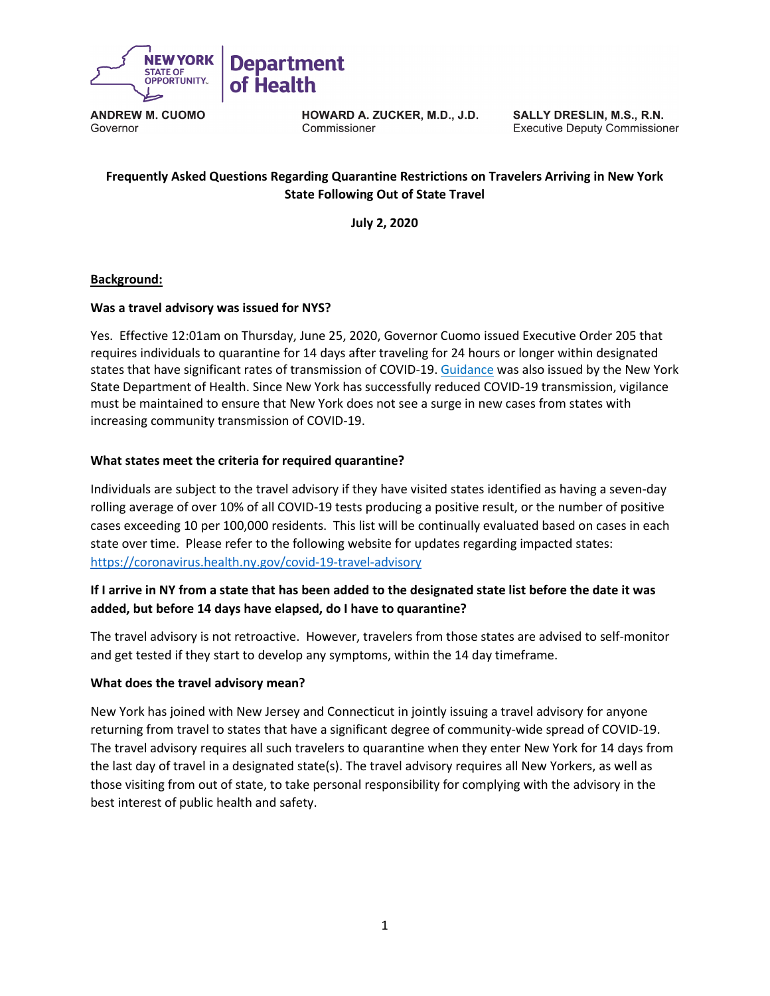

HOWARD A. ZUCKER, M.D., J.D. Commissioner

SALLY DRESLIN, M.S., R.N. **Executive Deputy Commissioner** 

# **Frequently Asked Questions Regarding Quarantine Restrictions on Travelers Arriving in New York State Following Out of State Travel**

**July 2, 2020**

### **Background:**

### **Was a travel advisory was issued for NYS?**

Yes. Effective 12:01am on Thursday, June 25, 2020, Governor Cuomo issued Executive Order 205 that requires individuals to quarantine for 14 days after traveling for 24 hours or longer within designated states that have significant rates of transmission of COVID-19[. Guidance](https://coronavirus.health.ny.gov/system/files/documents/2020/06/interimguidance_traveladvisory.pdf) was also issued by the New York State Department of Health. Since New York has successfully reduced COVID-19 transmission, vigilance must be maintained to ensure that New York does not see a surge in new cases from states with increasing community transmission of COVID-19.

#### **What states meet the criteria for required quarantine?**

Individuals are subject to the travel advisory if they have visited states identified as having a seven-day rolling average of over 10% of all COVID-19 tests producing a positive result, or the number of positive cases exceeding 10 per 100,000 residents. This list will be continually evaluated based on cases in each state over time. Please refer to the following website for updates regarding impacted states: <https://coronavirus.health.ny.gov/covid-19-travel-advisory>

### **If I arrive in NY from a state that has been added to the designated state list before the date it was added, but before 14 days have elapsed, do I have to quarantine?**

The travel advisory is not retroactive. However, travelers from those states are advised to self-monitor and get tested if they start to develop any symptoms, within the 14 day timeframe.

#### **What does the travel advisory mean?**

New York has joined with New Jersey and Connecticut in jointly issuing a travel advisory for anyone returning from travel to states that have a significant degree of community-wide spread of COVID-19. The travel advisory requires all such travelers to quarantine when they enter New York for 14 days from the last day of travel in a designated state(s). The travel advisory requires all New Yorkers, as well as those visiting from out of state, to take personal responsibility for complying with the advisory in the best interest of public health and safety.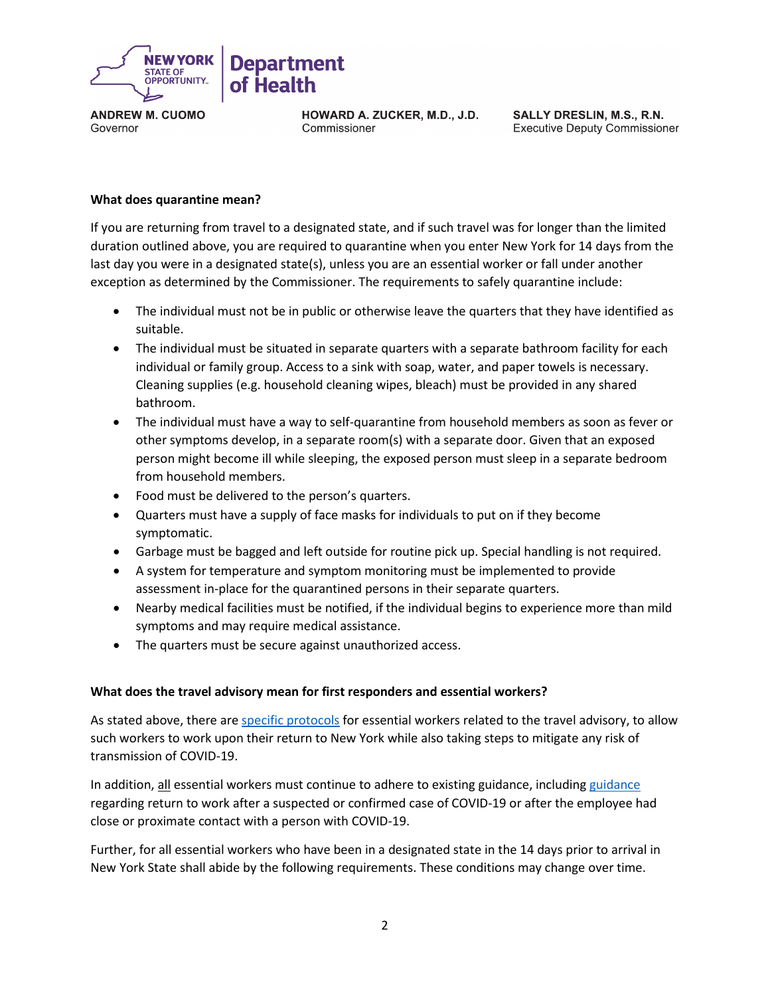

HOWARD A. ZUCKER, M.D., J.D. Commissioner

SALLY DRESLIN, M.S., R.N. **Executive Deputy Commissioner** 

#### **What does quarantine mean?**

If you are returning from travel to a designated state, and if such travel was for longer than the limited duration outlined above, you are required to quarantine when you enter New York for 14 days from the last day you were in a designated state(s), unless you are an essential worker or fall under another exception as determined by the Commissioner. The requirements to safely quarantine include:

- The individual must not be in public or otherwise leave the quarters that they have identified as suitable.
- The individual must be situated in separate quarters with a separate bathroom facility for each individual or family group. Access to a sink with soap, water, and paper towels is necessary. Cleaning supplies (e.g. household cleaning wipes, bleach) must be provided in any shared bathroom.
- The individual must have a way to self-quarantine from household members as soon as fever or other symptoms develop, in a separate room(s) with a separate door. Given that an exposed person might become ill while sleeping, the exposed person must sleep in a separate bedroom from household members.
- Food must be delivered to the person's quarters.
- Quarters must have a supply of face masks for individuals to put on if they become symptomatic.
- Garbage must be bagged and left outside for routine pick up. Special handling is not required.
- A system for temperature and symptom monitoring must be implemented to provide assessment in-place for the quarantined persons in their separate quarters.
- Nearby medical facilities must be notified, if the individual begins to experience more than mild symptoms and may require medical assistance.
- The quarters must be secure against unauthorized access.

### **What does the travel advisory mean for first responders and essential workers?**

As stated above, there are [specific protocols](https://coronavirus.health.ny.gov/system/files/documents/2020/06/interimguidance_traveladvisory.pdf) for essential workers related to the travel advisory, to allow such workers to work upon their return to New York while also taking steps to mitigate any risk of transmission of COVID-19.

In addition, all essential workers must continue to adhere to existing [guidance](https://coronavirus.health.ny.gov/system/files/documents/2020/06/doh_covid19_publicprivateemployeereturntowork_053120.pdf), including guidance regarding return to work after a suspected or confirmed case of COVID-19 or after the employee had close or proximate contact with a person with COVID-19.

Further, for all essential workers who have been in a designated state in the 14 days prior to arrival in New York State shall abide by the following requirements. These conditions may change over time.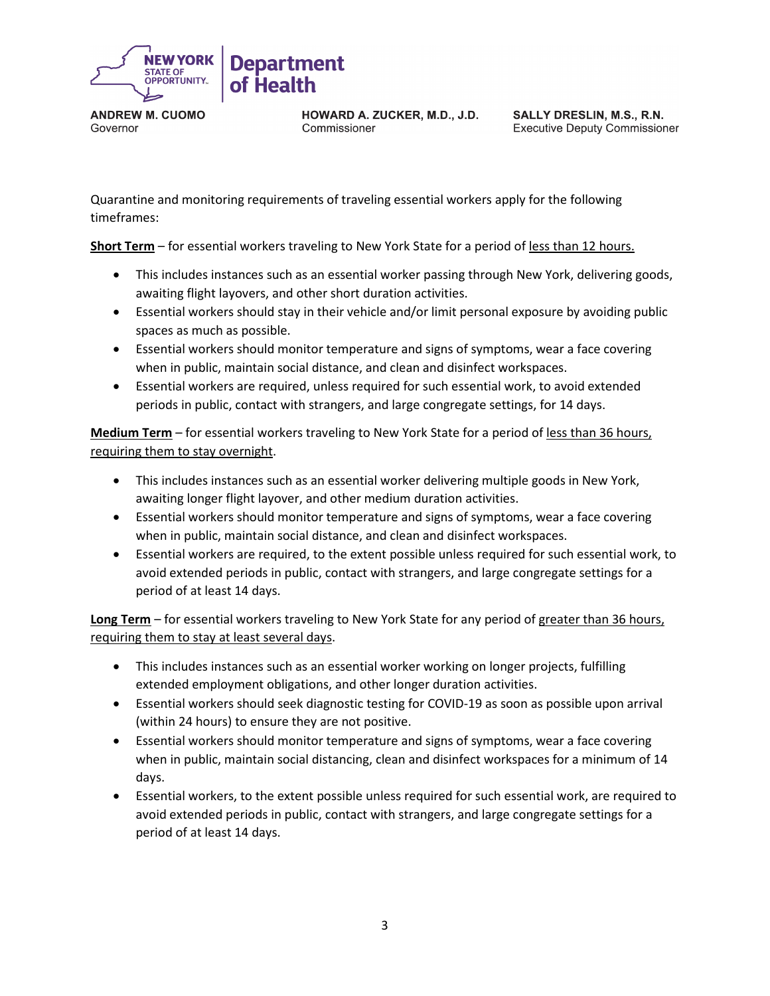

HOWARD A. ZUCKER, M.D., J.D. Commissioner

SALLY DRESLIN, M.S., R.N. **Executive Deputy Commissioner** 

Quarantine and monitoring requirements of traveling essential workers apply for the following timeframes:

**Short Term** – for essential workers traveling to New York State for a period of less than 12 hours.

- This includes instances such as an essential worker passing through New York, delivering goods, awaiting flight layovers, and other short duration activities.
- Essential workers should stay in their vehicle and/or limit personal exposure by avoiding public spaces as much as possible.
- Essential workers should monitor temperature and signs of symptoms, wear a face covering when in public, maintain social distance, and clean and disinfect workspaces.
- Essential workers are required, unless required for such essential work, to avoid extended periods in public, contact with strangers, and large congregate settings, for 14 days.

**Medium Term** – for essential workers traveling to New York State for a period of less than 36 hours, requiring them to stay overnight.

- This includes instances such as an essential worker delivering multiple goods in New York, awaiting longer flight layover, and other medium duration activities.
- Essential workers should monitor temperature and signs of symptoms, wear a face covering when in public, maintain social distance, and clean and disinfect workspaces.
- Essential workers are required, to the extent possible unless required for such essential work, to avoid extended periods in public, contact with strangers, and large congregate settings for a period of at least 14 days.

**Long Term** – for essential workers traveling to New York State for any period of greater than 36 hours, requiring them to stay at least several days.

- This includes instances such as an essential worker working on longer projects, fulfilling extended employment obligations, and other longer duration activities.
- Essential workers should seek diagnostic testing for COVID-19 as soon as possible upon arrival (within 24 hours) to ensure they are not positive.
- Essential workers should monitor temperature and signs of symptoms, wear a face covering when in public, maintain social distancing, clean and disinfect workspaces for a minimum of 14 days.
- Essential workers, to the extent possible unless required for such essential work, are required to avoid extended periods in public, contact with strangers, and large congregate settings for a period of at least 14 days.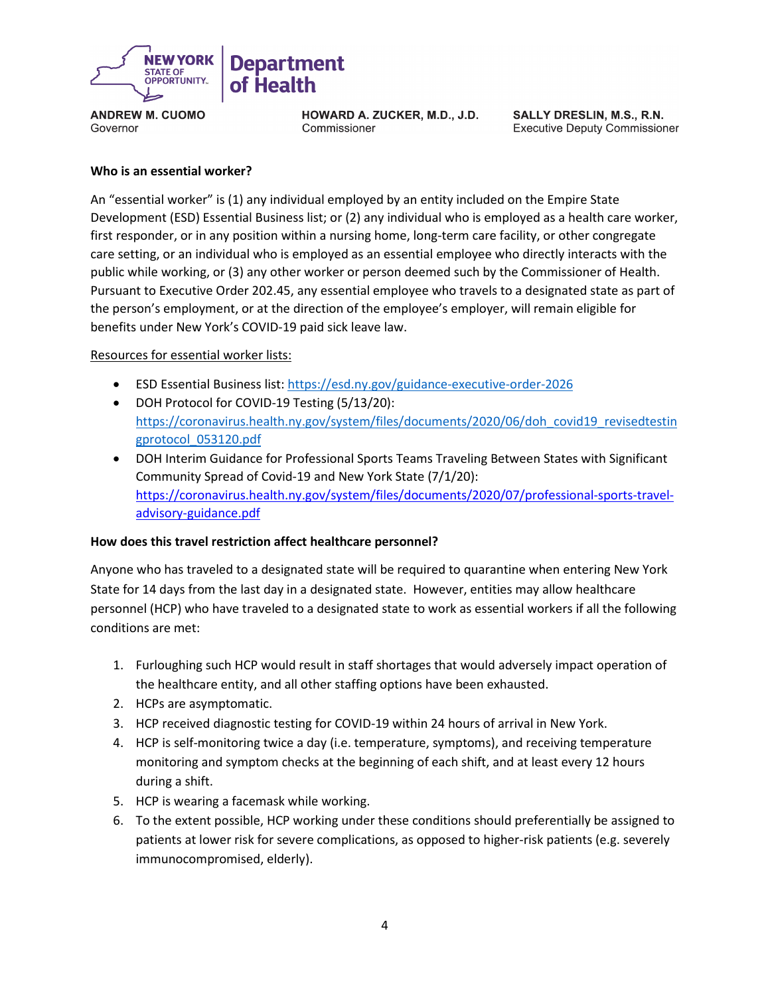

**HOWARD A. ZUCKER, M.D., J.D.** Commissioner

SALLY DRESLIN, M.S., R.N. **Executive Deputy Commissioner** 

#### **Who is an essential worker?**

An "essential worker" is (1) any individual employed by an entity included on the Empire State Development (ESD) Essential Business list; or (2) any individual who is employed as a health care worker, first responder, or in any position within a nursing home, long-term care facility, or other congregate care setting, or an individual who is employed as an essential employee who directly interacts with the public while working, or (3) any other worker or person deemed such by the Commissioner of Health. Pursuant to Executive Order 202.45, any essential employee who travels to a designated state as part of the person's employment, or at the direction of the employee's employer, will remain eligible for benefits under New York's COVID-19 paid sick leave law.

#### Resources for essential worker lists:

- ESD Essential Business list:<https://esd.ny.gov/guidance-executive-order-2026>
- DOH Protocol for COVID-19 Testing (5/13/20): [https://coronavirus.health.ny.gov/system/files/documents/2020/06/doh\\_covid19\\_revisedtestin](https://coronavirus.health.ny.gov/system/files/documents/2020/06/doh_covid19_revisedtestingprotocol_053120.pdf) [gprotocol\\_053120.pdf](https://coronavirus.health.ny.gov/system/files/documents/2020/06/doh_covid19_revisedtestingprotocol_053120.pdf)
- DOH Interim Guidance for Professional Sports Teams Traveling Between States with Significant Community Spread of Covid-19 and New York State (7/1/20): [https://coronavirus.health.ny.gov/system/files/documents/2020/07/professional-sports-travel](https://coronavirus.health.ny.gov/system/files/documents/2020/07/professional-sports-travel-advisory-guidance.pdf)[advisory-guidance.pdf](https://coronavirus.health.ny.gov/system/files/documents/2020/07/professional-sports-travel-advisory-guidance.pdf)

### **How does this travel restriction affect healthcare personnel?**

Anyone who has traveled to a designated state will be required to quarantine when entering New York State for 14 days from the last day in a designated state. However, entities may allow healthcare personnel (HCP) who have traveled to a designated state to work as essential workers if all the following conditions are met:

- 1. Furloughing such HCP would result in staff shortages that would adversely impact operation of the healthcare entity, and all other staffing options have been exhausted.
- 2. HCPs are asymptomatic.
- 3. HCP received diagnostic testing for COVID-19 within 24 hours of arrival in New York.
- 4. HCP is self-monitoring twice a day (i.e. temperature, symptoms), and receiving temperature monitoring and symptom checks at the beginning of each shift, and at least every 12 hours during a shift.
- 5. HCP is wearing a facemask while working.
- 6. To the extent possible, HCP working under these conditions should preferentially be assigned to patients at lower risk for severe complications, as opposed to higher-risk patients (e.g. severely immunocompromised, elderly).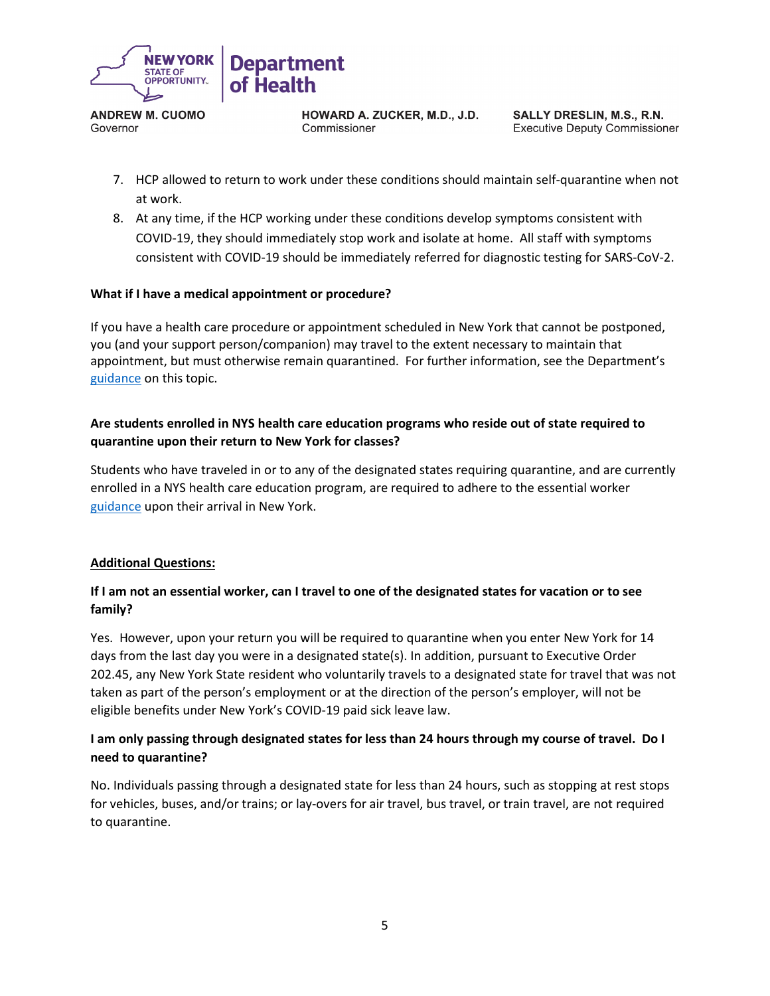

HOWARD A. ZUCKER, M.D., J.D. Commissioner

SALLY DRESLIN, M.S., R.N. **Executive Deputy Commissioner** 

- 7. HCP allowed to return to work under these conditions should maintain self-quarantine when not at work.
- 8. At any time, if the HCP working under these conditions develop symptoms consistent with COVID-19, they should immediately stop work and isolate at home. All staff with symptoms consistent with COVID-19 should be immediately referred for diagnostic testing for SARS-CoV-2.

### **What if I have a medical appointment or procedure?**

If you have a health care procedure or appointment scheduled in New York that cannot be postponed, you (and your support person/companion) may travel to the extent necessary to maintain that appointment, but must otherwise remain quarantined. For further information, see the Department's [guidance](https://coronavirus.health.ny.gov/system/files/documents/2020/07/medical-and-travel-advisory-20-final.pdf) on this topic.

## **Are students enrolled in NYS health care education programs who reside out of state required to quarantine upon their return to New York for classes?**

Students who have traveled in or to any of the designated states requiring quarantine, and are currently enrolled in a NYS health care education program, are required to adhere to the essential worker [guidance](https://coronavirus.health.ny.gov/system/files/documents/2020/06/interimguidance_traveladvisory.pdf) upon their arrival in New York.

### **Additional Questions:**

## **If I am not an essential worker, can I travel to one of the designated states for vacation or to see family?**

Yes. However, upon your return you will be required to quarantine when you enter New York for 14 days from the last day you were in a designated state(s). In addition, pursuant to Executive Order 202.45, any New York State resident who voluntarily travels to a designated state for travel that was not taken as part of the person's employment or at the direction of the person's employer, will not be eligible benefits under New York's COVID-19 paid sick leave law.

## **I am only passing through designated states for less than 24 hours through my course of travel. Do I need to quarantine?**

No. Individuals passing through a designated state for less than 24 hours, such as stopping at rest stops for vehicles, buses, and/or trains; or lay-overs for air travel, bus travel, or train travel, are not required to quarantine.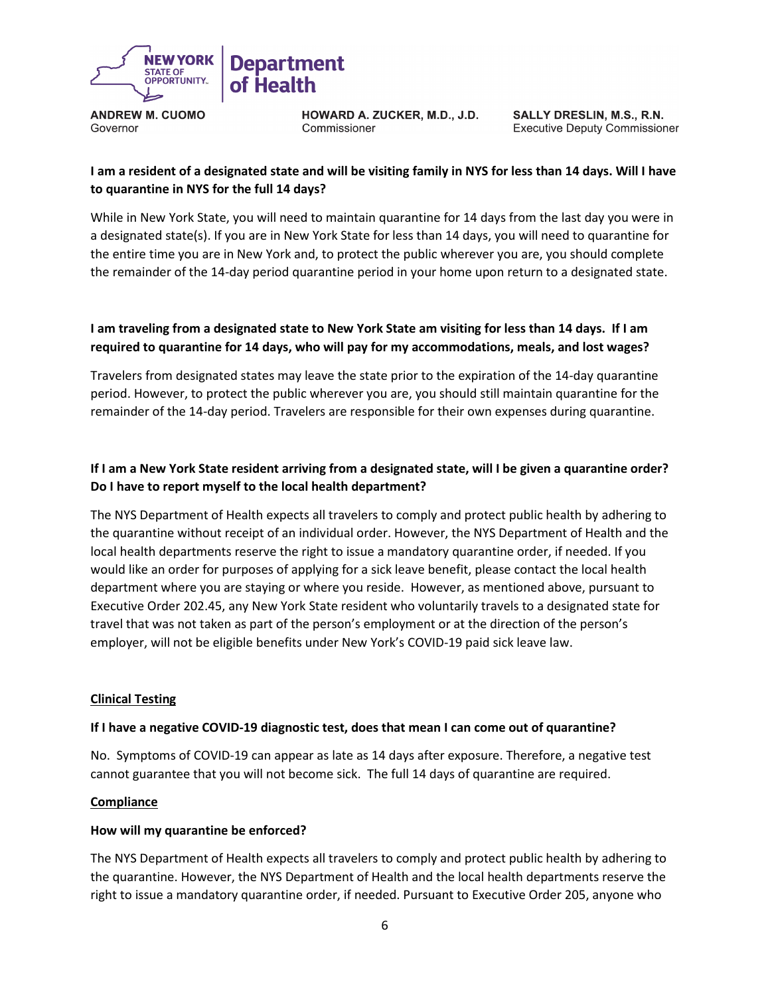

HOWARD A. ZUCKER, M.D., J.D. Commissioner

SALLY DRESLIN, M.S., R.N. **Executive Deputy Commissioner** 

## **I am a resident of a designated state and will be visiting family in NYS for less than 14 days. Will I have to quarantine in NYS for the full 14 days?**

While in New York State, you will need to maintain quarantine for 14 days from the last day you were in a designated state(s). If you are in New York State for less than 14 days, you will need to quarantine for the entire time you are in New York and, to protect the public wherever you are, you should complete the remainder of the 14-day period quarantine period in your home upon return to a designated state.

## **I am traveling from a designated state to New York State am visiting for less than 14 days. If I am required to quarantine for 14 days, who will pay for my accommodations, meals, and lost wages?**

Travelers from designated states may leave the state prior to the expiration of the 14-day quarantine period. However, to protect the public wherever you are, you should still maintain quarantine for the remainder of the 14-day period. Travelers are responsible for their own expenses during quarantine.

# **If I am a New York State resident arriving from a designated state, will I be given a quarantine order? Do I have to report myself to the local health department?**

The NYS Department of Health expects all travelers to comply and protect public health by adhering to the quarantine without receipt of an individual order. However, the NYS Department of Health and the local health departments reserve the right to issue a mandatory quarantine order, if needed. If you would like an order for purposes of applying for a sick leave benefit, please contact the local health department where you are staying or where you reside. However, as mentioned above, pursuant to Executive Order 202.45, any New York State resident who voluntarily travels to a designated state for travel that was not taken as part of the person's employment or at the direction of the person's employer, will not be eligible benefits under New York's COVID-19 paid sick leave law.

### **Clinical Testing**

### **If I have a negative COVID-19 diagnostic test, does that mean I can come out of quarantine?**

No. Symptoms of COVID-19 can appear as late as 14 days after exposure. Therefore, a negative test cannot guarantee that you will not become sick. The full 14 days of quarantine are required.

### **Compliance**

### **How will my quarantine be enforced?**

The NYS Department of Health expects all travelers to comply and protect public health by adhering to the quarantine. However, the NYS Department of Health and the local health departments reserve the right to issue a mandatory quarantine order, if needed. Pursuant to Executive Order 205, anyone who